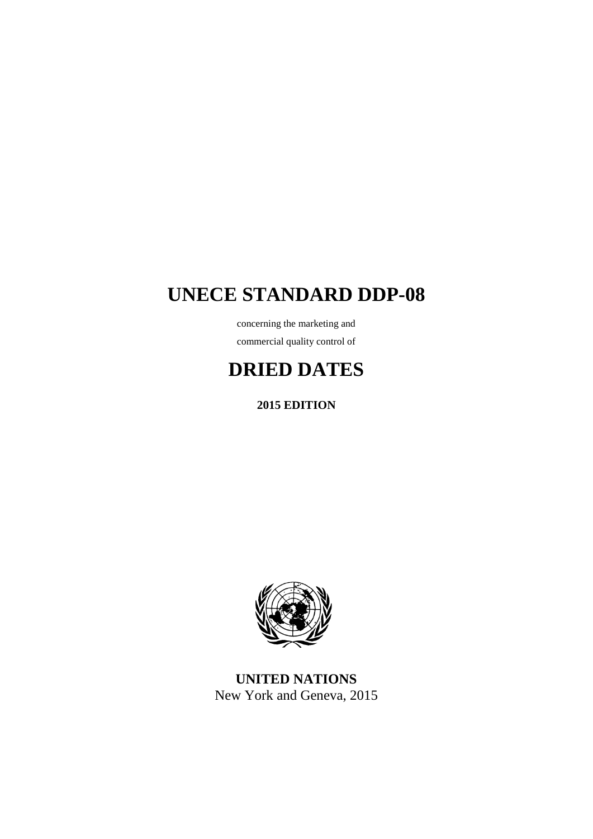# **UNECE STANDARD DDP-08**

concerning the marketing and commercial quality control of

# **DRIED DATES**

**2015 EDITION**



**UNITED NATIONS** New York and Geneva, 2015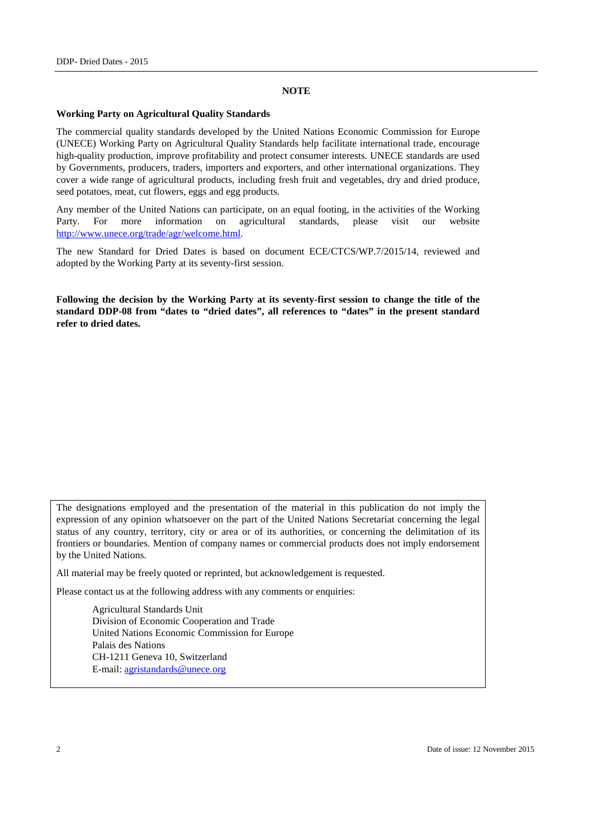#### **NOTE**

#### **Working Party on Agricultural Quality Standards**

The commercial quality standards developed by the United Nations Economic Commission for Europe (UNECE) Working Party on Agricultural Quality Standards help facilitate international trade, encourage high-quality production, improve profitability and protect consumer interests. UNECE standards are used by Governments, producers, traders, importers and exporters, and other international organizations. They cover a wide range of agricultural products, including fresh fruit and vegetables, dry and dried produce, seed potatoes, meat, cut flowers, eggs and egg products.

Any member of the United Nations can participate, on an equal footing, in the activities of the Working Party. For more information on agricultural standards, please visit our website [http://www.unece.org/trade/agr/welcome.html.](http://www.unece.org/trade/agr/welcome.html)

The new Standard for Dried Dates is based on document ECE/CTCS/WP.7/2015/14, reviewed and adopted by the Working Party at its seventy-first session.

**Following the decision by the Working Party at its seventy-first session to change the title of the standard DDP-08 from "dates to "dried dates", all references to "dates" in the present standard refer to dried dates.**

The designations employed and the presentation of the material in this publication do not imply the expression of any opinion whatsoever on the part of the United Nations Secretariat concerning the legal status of any country, territory, city or area or of its authorities, or concerning the delimitation of its frontiers or boundaries. Mention of company names or commercial products does not imply endorsement by the United Nations.

All material may be freely quoted or reprinted, but acknowledgement is requested.

Please contact us at the following address with any comments or enquiries:

Agricultural Standards Unit Division of Economic Cooperation and Trade United Nations Economic Commission for Europe Palais des Nations CH-1211 Geneva 10, Switzerland E-mail: [agristandards@unece.org](mailto:agristandards@unece.org)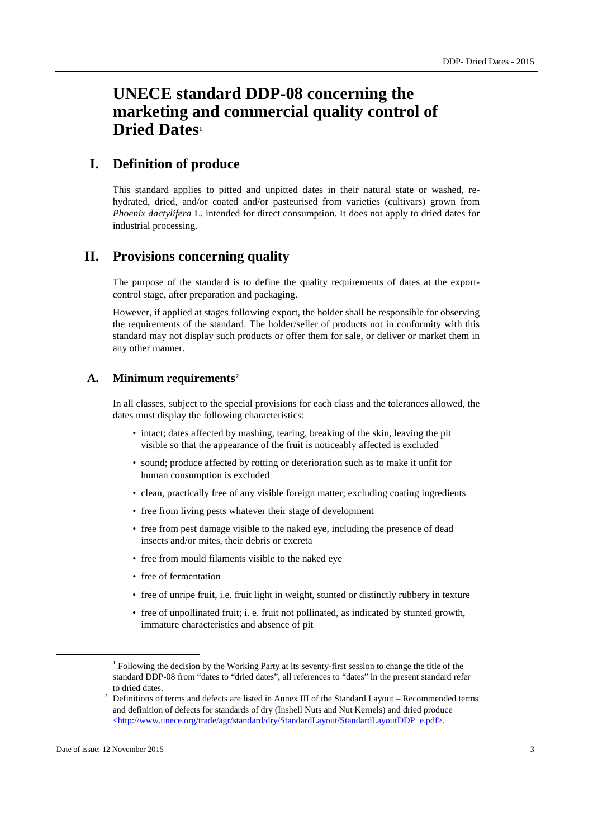## **UNECE standard DDP-08 concerning the marketing and commercial quality control of Dried Dates[1](#page-2-0)**

## **I. Definition of produce**

This standard applies to pitted and unpitted dates in their natural state or washed, rehydrated, dried, and/or coated and/or pasteurised from varieties (cultivars) grown from *Phoenix dactylifera* L. intended for direct consumption. It does not apply to dried dates for industrial processing.

## **II. Provisions concerning quality**

The purpose of the standard is to define the quality requirements of dates at the exportcontrol stage, after preparation and packaging.

However, if applied at stages following export, the holder shall be responsible for observing the requirements of the standard. The holder/seller of products not in conformity with this standard may not display such products or offer them for sale, or deliver or market them in any other manner.

#### **A. Minimum requirements[2](#page-2-1)**

In all classes, subject to the special provisions for each class and the tolerances allowed, the dates must display the following characteristics:

- intact; dates affected by mashing, tearing, breaking of the skin, leaving the pit visible so that the appearance of the fruit is noticeably affected is excluded
- sound; produce affected by rotting or deterioration such as to make it unfit for human consumption is excluded
- clean, practically free of any visible foreign matter; excluding coating ingredients
- free from living pests whatever their stage of development
- free from pest damage visible to the naked eye, including the presence of dead insects and/or mites, their debris or excreta
- free from mould filaments visible to the naked eye
- free of fermentation
- free of unripe fruit, i.e. fruit light in weight, stunted or distinctly rubbery in texture
- free of unpollinated fruit; i. e. fruit not pollinated, as indicated by stunted growth, immature characteristics and absence of pit

<sup>&</sup>lt;sup>1</sup> Following the decision by the Working Party at its seventy-first session to change the title of the standard DDP-08 from "dates to "dried dates", all references to "dates" in the present standard refer to dried dates.

<span id="page-2-1"></span><span id="page-2-0"></span> $2$  Definitions of terms and defects are listed in Annex III of the Standard Layout – Recommended terms and definition of defects for standards of dry (Inshell Nuts and Nut Kernels) and dried produce <http://www.unece.org/trade/agr/standard/dry/StandardLayout/StandardLayoutDDP\_e.pdf>.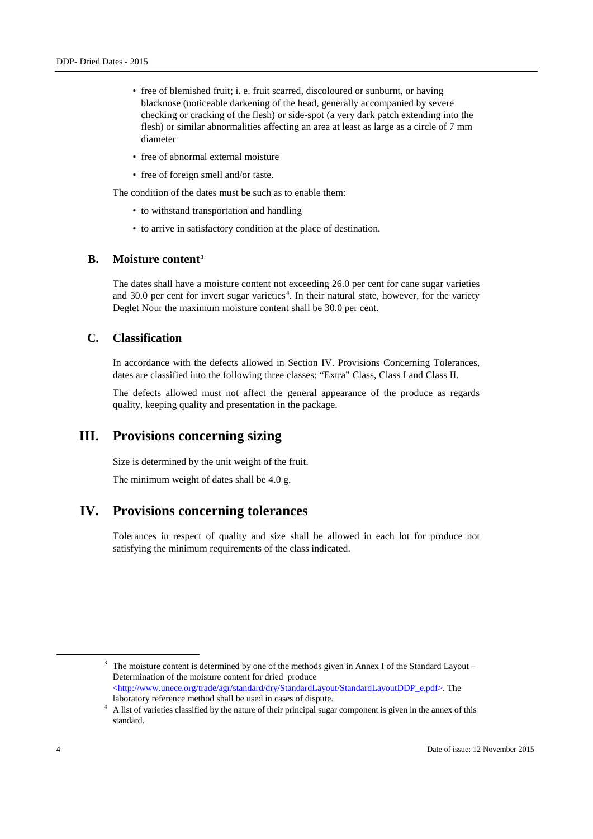- free of blemished fruit; i. e. fruit scarred, discoloured or sunburnt, or having blacknose (noticeable darkening of the head, generally accompanied by severe checking or cracking of the flesh) or side-spot (a very dark patch extending into the flesh) or similar abnormalities affecting an area at least as large as a circle of 7 mm diameter
- free of abnormal external moisture
- free of foreign smell and/or taste.

The condition of the dates must be such as to enable them:

- to withstand transportation and handling
- to arrive in satisfactory condition at the place of destination.

## **B. Moisture content[3](#page-3-0)**

The dates shall have a moisture content not exceeding 26.0 per cent for cane sugar varieties and 30.0 per cent for invert sugar varieties<sup>[4](#page-3-1)</sup>. In their natural state, however, for the variety Deglet Nour the maximum moisture content shall be 30.0 per cent.

#### **C. Classification**

In accordance with the defects allowed in Section IV. Provisions Concerning Tolerances, dates are classified into the following three classes: "Extra" Class, Class I and Class II.

The defects allowed must not affect the general appearance of the produce as regards quality, keeping quality and presentation in the package.

## **III. Provisions concerning sizing**

Size is determined by the unit weight of the fruit.

The minimum weight of dates shall be 4.0 g.

## **IV. Provisions concerning tolerances**

Tolerances in respect of quality and size shall be allowed in each lot for produce not satisfying the minimum requirements of the class indicated.

<span id="page-3-0"></span> $3$  The moisture content is determined by one of the methods given in Annex I of the Standard Layout – Determination of the moisture content for dried produce <http://www.unece.org/trade/agr/standard/dry/StandardLayout/StandardLayoutDDP\_e.pdf>. The

<span id="page-3-1"></span>laboratory reference method shall be used in cases of dispute. 4 A list of varieties classified by the nature of their principal sugar component is given in the annex of this standard.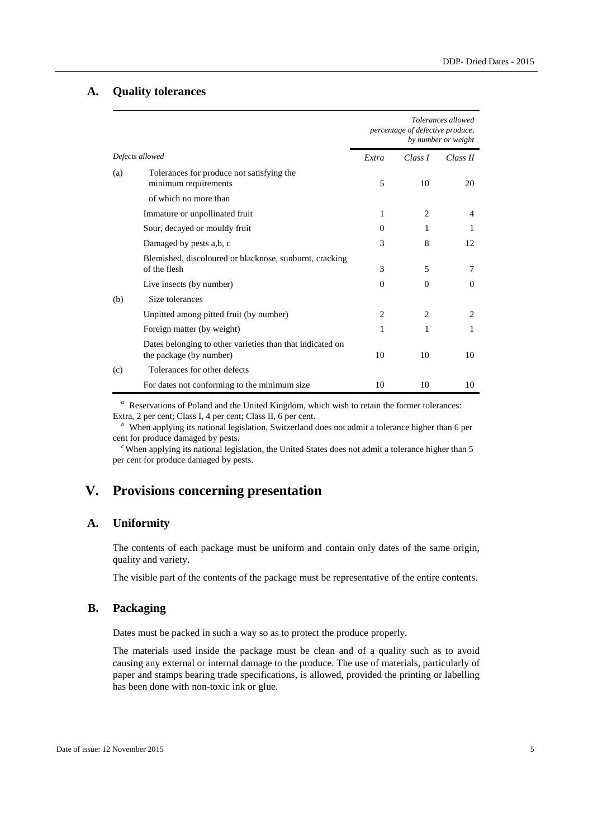#### **A. Quality tolerances**

|                 |                                                                                      | Tolerances allowed<br>percentage of defective produce,<br>by number or weight |                |                |
|-----------------|--------------------------------------------------------------------------------------|-------------------------------------------------------------------------------|----------------|----------------|
| Defects allowed |                                                                                      | Extra                                                                         | Class I        | Class II       |
| (a)             | Tolerances for produce not satisfying the<br>minimum requirements                    | 5                                                                             | 10             | 20             |
|                 | of which no more than                                                                |                                                                               |                |                |
|                 | Immature or unpollinated fruit                                                       | 1                                                                             | $\overline{c}$ | 4              |
|                 | Sour, decayed or mouldy fruit                                                        | $\Omega$                                                                      | 1              | T              |
|                 | Damaged by pests a,b, c                                                              | 3                                                                             | 8              | 12             |
|                 | Blemished, discoloured or blacknose, sunburnt, cracking<br>of the flesh              | 3                                                                             | 5              | 7              |
|                 | Live insects (by number)                                                             | $\Omega$                                                                      | $\Omega$       | $\Omega$       |
| (b)             | Size tolerances                                                                      |                                                                               |                |                |
|                 | Unpitted among pitted fruit (by number)                                              | $\overline{c}$                                                                | 2              | $\overline{c}$ |
|                 | Foreign matter (by weight)                                                           | 1                                                                             | 1              | 1              |
|                 | Dates belonging to other varieties than that indicated on<br>the package (by number) | 10                                                                            | 10             | 10             |
| (c)             | Tolerances for other defects                                                         |                                                                               |                |                |
|                 | For dates not conforming to the minimum size                                         | 10                                                                            | 10             | 10             |

*a* Reservations of Poland and the United Kingdom, which wish to retain the former tolerances: Extra, 2 per cent; Class I, 4 per cent; Class II, 6 per cent.

<sup>*b*</sup> When applying its national legislation, Switzerland does not admit a tolerance higher than 6 per cent for produce damaged by pests.

<sup>c</sup> When applying its national legislation, the United States does not admit a tolerance higher than 5 per cent for produce damaged by pests.

## **V. Provisions concerning presentation**

#### **A. Uniformity**

The contents of each package must be uniform and contain only dates of the same origin, quality and variety.

The visible part of the contents of the package must be representative of the entire contents.

## **B. Packaging**

Dates must be packed in such a way so as to protect the produce properly.

The materials used inside the package must be clean and of a quality such as to avoid causing any external or internal damage to the produce. The use of materials, particularly of paper and stamps bearing trade specifications, is allowed, provided the printing or labelling has been done with non-toxic ink or glue.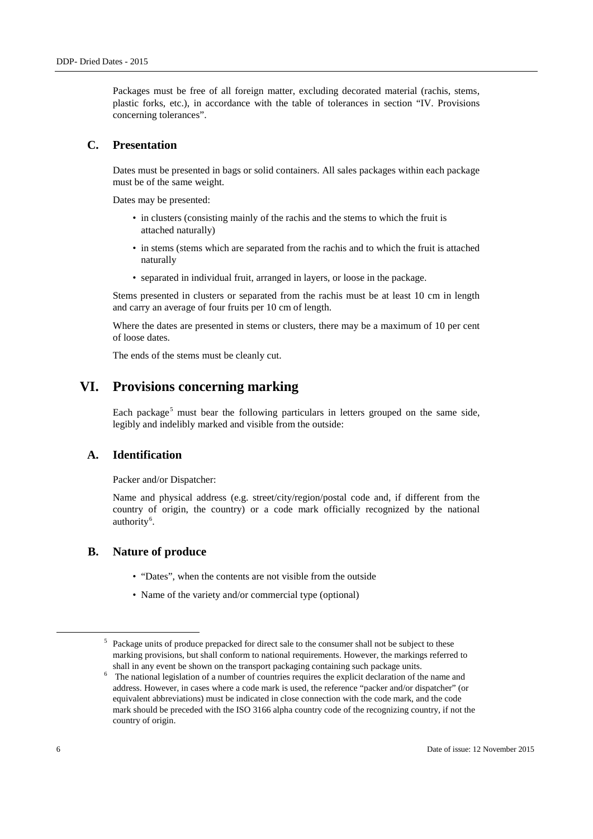Packages must be free of all foreign matter, excluding decorated material (rachis, stems, plastic forks, etc.), in accordance with the table of tolerances in section "IV. Provisions concerning tolerances".

#### **C. Presentation**

Dates must be presented in bags or solid containers. All sales packages within each package must be of the same weight.

Dates may be presented:

- in clusters (consisting mainly of the rachis and the stems to which the fruit is attached naturally)
- in stems (stems which are separated from the rachis and to which the fruit is attached naturally
- separated in individual fruit, arranged in layers, or loose in the package.

Stems presented in clusters or separated from the rachis must be at least 10 cm in length and carry an average of four fruits per 10 cm of length.

Where the dates are presented in stems or clusters, there may be a maximum of 10 per cent of loose dates.

The ends of the stems must be cleanly cut.

## **VI. Provisions concerning marking**

Each package<sup>[5](#page-5-0)</sup> must bear the following particulars in letters grouped on the same side, legibly and indelibly marked and visible from the outside:

## **A. Identification**

Packer and/or Dispatcher:

Name and physical address (e.g. street/city/region/postal code and, if different from the country of origin, the country) or a code mark officially recognized by the national authority<sup>[6](#page-5-1)</sup>.

#### **B. Nature of produce**

- "Dates", when the contents are not visible from the outside
- Name of the variety and/or commercial type (optional)

<span id="page-5-0"></span><sup>&</sup>lt;sup>5</sup> Package units of produce prepacked for direct sale to the consumer shall not be subject to these marking provisions, but shall conform to national requirements. However, the markings referred to shall in any event be shown on the transport packaging containing such package units.

<span id="page-5-1"></span><sup>6</sup> The national legislation of a number of countries requires the explicit declaration of the name and address. However, in cases where a code mark is used, the reference "packer and/or dispatcher" (or equivalent abbreviations) must be indicated in close connection with the code mark, and the code mark should be preceded with the ISO 3166 alpha country code of the recognizing country, if not the country of origin.